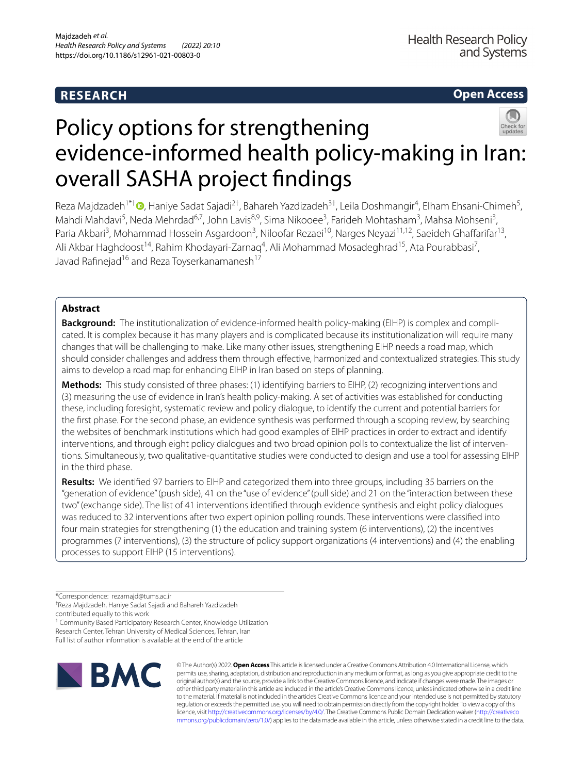## **RESEARCH**

**Open Access**

# Policy options for strengthening evidence-informed health policy-making in Iran: overall SASHA project fndings

Reza Majdzadeh<sup>1\*[†](http://orcid.org/0000-0001-8429-5261)</sup>®, Haniye Sadat Sajadi<sup>2†</sup>, Bahareh Yazdizadeh<sup>3†</sup>, Leila Doshmangir<sup>4</sup>, Elham Ehsani-Chimeh<sup>5</sup>, Mahdi Mahdavi<sup>5</sup>, Neda Mehrdad<sup>6,7</sup>, John Lavis<sup>8,9</sup>, Sima Nikooee<sup>3</sup>, Farideh Mohtasham<sup>3</sup>, Mahsa Mohseni<sup>3</sup>, Paria Akbari<sup>3</sup>, Mohammad Hossein Asgardoon<sup>3</sup>, Niloofar Rezaei<sup>10</sup>, Narges Neyazi<sup>11,12</sup>, Saeideh Ghaffarifar<sup>13</sup>, Ali Akbar Haghdoost<sup>14</sup>, Rahim Khodayari-Zarnaq<sup>4</sup>, Ali Mohammad Mosadeghrad<sup>15</sup>, Ata Pourabbasi<sup>7</sup>, Javad Rafinejad<sup>16</sup> and Reza Toyserkanamanesh<sup>17</sup>

## **Abstract**

Background: The institutionalization of evidence-informed health policy-making (EIHP) is complex and complicated. It is complex because it has many players and is complicated because its institutionalization will require many changes that will be challenging to make. Like many other issues, strengthening EIHP needs a road map, which should consider challenges and address them through efective, harmonized and contextualized strategies. This study aims to develop a road map for enhancing EIHP in Iran based on steps of planning.

**Methods:** This study consisted of three phases: (1) identifying barriers to EIHP, (2) recognizing interventions and (3) measuring the use of evidence in Iran's health policy-making. A set of activities was established for conducting these, including foresight, systematic review and policy dialogue, to identify the current and potential barriers for the frst phase. For the second phase, an evidence synthesis was performed through a scoping review, by searching the websites of benchmark institutions which had good examples of EIHP practices in order to extract and identify interventions, and through eight policy dialogues and two broad opinion polls to contextualize the list of interventions. Simultaneously, two qualitative-quantitative studies were conducted to design and use a tool for assessing EIHP in the third phase.

**Results:** We identifed 97 barriers to EIHP and categorized them into three groups, including 35 barriers on the "generation of evidence" (push side), 41 on the "use of evidence" (pull side) and 21 on the "interaction between these two" (exchange side). The list of 41 interventions identifed through evidence synthesis and eight policy dialogues was reduced to 32 interventions after two expert opinion polling rounds. These interventions were classifed into four main strategies for strengthening (1) the education and training system (6 interventions), (2) the incentives programmes (7 interventions), (3) the structure of policy support organizations (4 interventions) and (4) the enabling processes to support EIHP (15 interventions).

<sup>1</sup> Community Based Participatory Research Center, Knowledge Utilization Research Center, Tehran University of Medical Sciences, Tehran, Iran Full list of author information is available at the end of the article



© The Author(s) 2022. **Open Access** This article is licensed under a Creative Commons Attribution 4.0 International License, which permits use, sharing, adaptation, distribution and reproduction in any medium or format, as long as you give appropriate credit to the original author(s) and the source, provide a link to the Creative Commons licence, and indicate if changes were made. The images or other third party material in this article are included in the article's Creative Commons licence, unless indicated otherwise in a credit line to the material. If material is not included in the article's Creative Commons licence and your intended use is not permitted by statutory regulation or exceeds the permitted use, you will need to obtain permission directly from the copyright holder. To view a copy of this licence, visit [http://creativecommons.org/licenses/by/4.0/.](http://creativecommons.org/licenses/by/4.0/) The Creative Commons Public Domain Dedication waiver ([http://creativeco](http://creativecommons.org/publicdomain/zero/1.0/) [mmons.org/publicdomain/zero/1.0/](http://creativecommons.org/publicdomain/zero/1.0/)) applies to the data made available in this article, unless otherwise stated in a credit line to the data.

<sup>\*</sup>Correspondence: rezamajd@tums.ac.ir

<sup>†</sup> Reza Majdzadeh, Haniye Sadat Sajadi and Bahareh Yazdizadeh

contributed equally to this work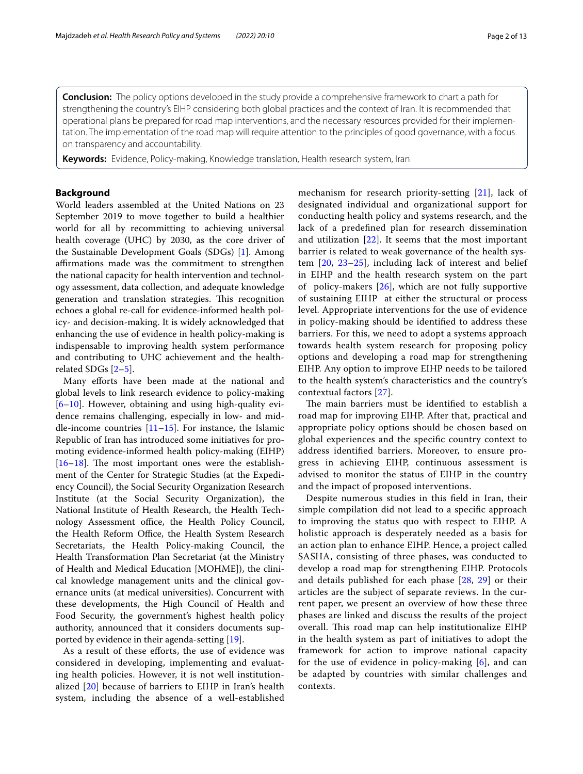**Conclusion:** The policy options developed in the study provide a comprehensive framework to chart a path for strengthening the country's EIHP considering both global practices and the context of Iran. It is recommended that operational plans be prepared for road map interventions, and the necessary resources provided for their implemen‑ tation. The implementation of the road map will require attention to the principles of good governance, with a focus on transparency and accountability.

**Keywords:** Evidence, Policy-making, Knowledge translation, Health research system, Iran

## **Background**

World leaders assembled at the United Nations on 23 September 2019 to move together to build a healthier world for all by recommitting to achieving universal health coverage (UHC) by 2030, as the core driver of the Sustainable Development Goals (SDGs) [\[1](#page-11-0)]. Among affirmations made was the commitment to strengthen the national capacity for health intervention and technology assessment, data collection, and adequate knowledge generation and translation strategies. This recognition echoes a global re-call for evidence-informed health policy- and decision-making. It is widely acknowledged that enhancing the use of evidence in health policy-making is indispensable to improving health system performance and contributing to UHC achievement and the healthrelated SDGs [\[2](#page-11-1)[–5\]](#page-11-2).

Many efforts have been made at the national and global levels to link research evidence to policy-making [[6–](#page-11-3)[10\]](#page-11-4). However, obtaining and using high-quality evidence remains challenging, especially in low- and middle-income countries  $[11–15]$  $[11–15]$  $[11–15]$ . For instance, the Islamic Republic of Iran has introduced some initiatives for promoting evidence-informed health policy-making (EIHP)  $[16–18]$  $[16–18]$  $[16–18]$  $[16–18]$ . The most important ones were the establishment of the Center for Strategic Studies (at the Expediency Council), the Social Security Organization Research Institute (at the Social Security Organization), the National Institute of Health Research, the Health Technology Assessment office, the Health Policy Council, the Health Reform Office, the Health System Research Secretariats, the Health Policy-making Council, the Health Transformation Plan Secretariat (at the Ministry of Health and Medical Education [MOHME]), the clinical knowledge management units and the clinical governance units (at medical universities). Concurrent with these developments, the High Council of Health and Food Security, the government's highest health policy authority, announced that it considers documents supported by evidence in their agenda-setting [\[19](#page-11-9)].

As a result of these efforts, the use of evidence was considered in developing, implementing and evaluating health policies. However, it is not well institutionalized [[20](#page-11-10)] because of barriers to EIHP in Iran's health system, including the absence of a well-established mechanism for research priority-setting [[21](#page-11-11)], lack of designated individual and organizational support for conducting health policy and systems research, and the lack of a predefned plan for research dissemination and utilization [\[22\]](#page-11-12). It seems that the most important barrier is related to weak governance of the health system [[20,](#page-11-10) [23–](#page-11-13)[25\]](#page-11-14), including lack of interest and belief in EIHP and the health research system on the part of policy-makers [[26\]](#page-11-15), which are not fully supportive of sustaining EIHP at either the structural or process level. Appropriate interventions for the use of evidence in policy-making should be identifed to address these barriers. For this, we need to adopt a systems approach towards health system research for proposing policy options and developing a road map for strengthening EIHP. Any option to improve EIHP needs to be tailored to the health system's characteristics and the country's contextual factors [[27\]](#page-11-16).

The main barriers must be identified to establish a road map for improving EIHP. After that, practical and appropriate policy options should be chosen based on global experiences and the specifc country context to address identifed barriers. Moreover, to ensure progress in achieving EIHP, continuous assessment is advised to monitor the status of EIHP in the country and the impact of proposed interventions.

Despite numerous studies in this feld in Iran, their simple compilation did not lead to a specifc approach to improving the status quo with respect to EIHP. A holistic approach is desperately needed as a basis for an action plan to enhance EIHP. Hence, a project called SASHA, consisting of three phases, was conducted to develop a road map for strengthening EIHP. Protocols and details published for each phase [[28,](#page-11-17) [29](#page-11-18)] or their articles are the subject of separate reviews. In the current paper, we present an overview of how these three phases are linked and discuss the results of the project overall. This road map can help institutionalize EIHP in the health system as part of initiatives to adopt the framework for action to improve national capacity for the use of evidence in policy-making  $[6]$  $[6]$ , and can be adapted by countries with similar challenges and contexts.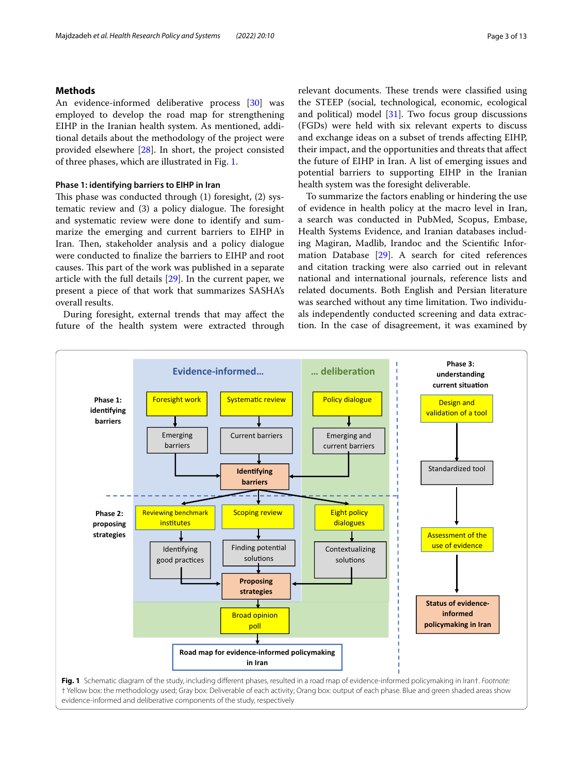## **Methods**

An evidence-informed deliberative process [\[30](#page-11-19)] was employed to develop the road map for strengthening EIHP in the Iranian health system. As mentioned, additional details about the methodology of the project were provided elsewhere [\[28\]](#page-11-17). In short, the project consisted of three phases, which are illustrated in Fig. [1.](#page-2-0)

#### **Phase 1: identifying barriers to EIHP in Iran**

This phase was conducted through (1) foresight, (2) systematic review and  $(3)$  a policy dialogue. The foresight and systematic review were done to identify and summarize the emerging and current barriers to EIHP in Iran. Then, stakeholder analysis and a policy dialogue were conducted to fnalize the barriers to EIHP and root causes. This part of the work was published in a separate article with the full details [[29\]](#page-11-18). In the current paper, we present a piece of that work that summarizes SASHA's overall results.

During foresight, external trends that may afect the future of the health system were extracted through relevant documents. These trends were classified using the STEEP (social, technological, economic, ecological and political) model  $[31]$ . Two focus group discussions (FGDs) were held with six relevant experts to discuss and exchange ideas on a subset of trends afecting EIHP, their impact, and the opportunities and threats that afect the future of EIHP in Iran. A list of emerging issues and potential barriers to supporting EIHP in the Iranian health system was the foresight deliverable.

To summarize the factors enabling or hindering the use of evidence in health policy at the macro level in Iran, a search was conducted in PubMed, Scopus, Embase, Health Systems Evidence, and Iranian databases including Magiran, Madlib, Irandoc and the Scientifc Information Database [\[29](#page-11-18)]. A search for cited references and citation tracking were also carried out in relevant national and international journals, reference lists and related documents. Both English and Persian literature was searched without any time limitation. Two individuals independently conducted screening and data extraction. In the case of disagreement, it was examined by

<span id="page-2-0"></span>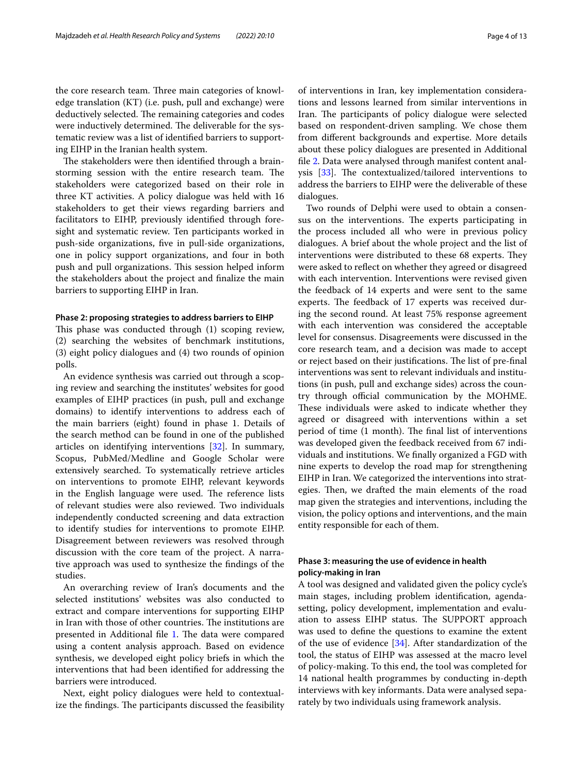the core research team. Three main categories of knowledge translation (KT) (i.e. push, pull and exchange) were deductively selected. The remaining categories and codes were inductively determined. The deliverable for the systematic review was a list of identifed barriers to supporting EIHP in the Iranian health system.

The stakeholders were then identified through a brainstorming session with the entire research team. The stakeholders were categorized based on their role in three KT activities. A policy dialogue was held with 16 stakeholders to get their views regarding barriers and facilitators to EIHP, previously identifed through foresight and systematic review. Ten participants worked in push-side organizations, fve in pull-side organizations, one in policy support organizations, and four in both push and pull organizations. This session helped inform the stakeholders about the project and fnalize the main barriers to supporting EIHP in Iran.

#### **Phase 2: proposing strategies to address barriers to EIHP**

This phase was conducted through (1) scoping review, (2) searching the websites of benchmark institutions, (3) eight policy dialogues and (4) two rounds of opinion polls.

An evidence synthesis was carried out through a scoping review and searching the institutes' websites for good examples of EIHP practices (in push, pull and exchange domains) to identify interventions to address each of the main barriers (eight) found in phase 1. Details of the search method can be found in one of the published articles on identifying interventions [\[32\]](#page-11-21). In summary, Scopus, PubMed/Medline and Google Scholar were extensively searched. To systematically retrieve articles on interventions to promote EIHP, relevant keywords in the English language were used. The reference lists of relevant studies were also reviewed. Two individuals independently conducted screening and data extraction to identify studies for interventions to promote EIHP. Disagreement between reviewers was resolved through discussion with the core team of the project. A narrative approach was used to synthesize the fndings of the studies.

An overarching review of Iran's documents and the selected institutions' websites was also conducted to extract and compare interventions for supporting EIHP in Iran with those of other countries. The institutions are presented in Additional file [1](#page-10-0). The data were compared using a content analysis approach. Based on evidence synthesis, we developed eight policy briefs in which the interventions that had been identifed for addressing the barriers were introduced.

Next, eight policy dialogues were held to contextualize the findings. The participants discussed the feasibility of interventions in Iran, key implementation considerations and lessons learned from similar interventions in Iran. The participants of policy dialogue were selected based on respondent-driven sampling. We chose them from diferent backgrounds and expertise. More details about these policy dialogues are presented in Additional fle [2.](#page-10-1) Data were analysed through manifest content analysis  $[33]$  $[33]$ . The contextualized/tailored interventions to address the barriers to EIHP were the deliverable of these dialogues.

Two rounds of Delphi were used to obtain a consensus on the interventions. The experts participating in the process included all who were in previous policy dialogues. A brief about the whole project and the list of interventions were distributed to these 68 experts. They were asked to reflect on whether they agreed or disagreed with each intervention. Interventions were revised given the feedback of 14 experts and were sent to the same experts. The feedback of 17 experts was received during the second round. At least 75% response agreement with each intervention was considered the acceptable level for consensus. Disagreements were discussed in the core research team, and a decision was made to accept or reject based on their justifications. The list of pre-final interventions was sent to relevant individuals and institutions (in push, pull and exchange sides) across the country through official communication by the MOHME. These individuals were asked to indicate whether they agreed or disagreed with interventions within a set period of time (1 month). The final list of interventions was developed given the feedback received from 67 individuals and institutions. We fnally organized a FGD with nine experts to develop the road map for strengthening EIHP in Iran. We categorized the interventions into strategies. Then, we drafted the main elements of the road map given the strategies and interventions, including the vision, the policy options and interventions, and the main entity responsible for each of them.

## **Phase 3: measuring the use of evidence in health policy‑making in Iran**

A tool was designed and validated given the policy cycle's main stages, including problem identifcation, agendasetting, policy development, implementation and evaluation to assess EIHP status. The SUPPORT approach was used to defne the questions to examine the extent of the use of evidence [\[34](#page-11-23)]. After standardization of the tool, the status of EIHP was assessed at the macro level of policy-making. To this end, the tool was completed for 14 national health programmes by conducting in-depth interviews with key informants. Data were analysed separately by two individuals using framework analysis.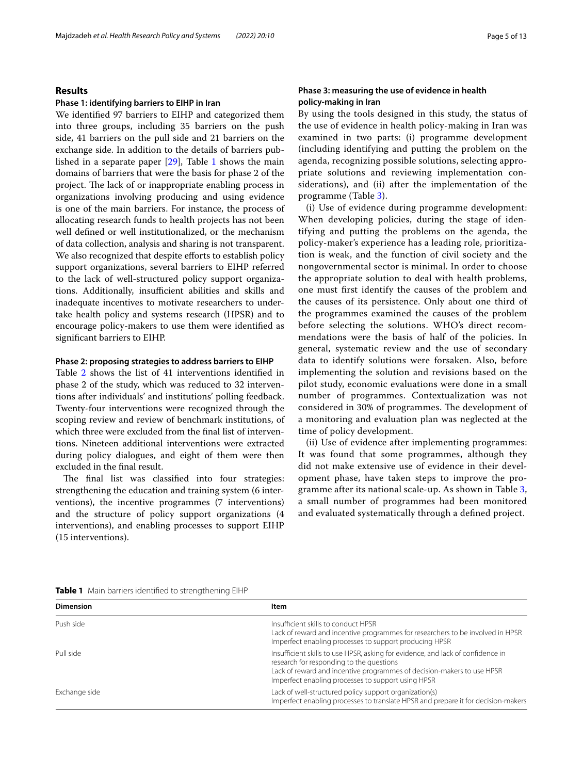## **Results**

#### **Phase 1: identifying barriers to EIHP in Iran**

We identifed 97 barriers to EIHP and categorized them into three groups, including 35 barriers on the push side, 41 barriers on the pull side and 21 barriers on the exchange side. In addition to the details of barriers published in a separate paper [[29](#page-11-18)], Table [1](#page-4-0) shows the main domains of barriers that were the basis for phase 2 of the project. The lack of or inappropriate enabling process in organizations involving producing and using evidence is one of the main barriers. For instance, the process of allocating research funds to health projects has not been well defned or well institutionalized, or the mechanism of data collection, analysis and sharing is not transparent. We also recognized that despite efforts to establish policy support organizations, several barriers to EIHP referred to the lack of well-structured policy support organizations. Additionally, insufficient abilities and skills and inadequate incentives to motivate researchers to undertake health policy and systems research (HPSR) and to encourage policy-makers to use them were identifed as signifcant barriers to EIHP.

#### **Phase 2: proposing strategies to address barriers to EIHP**

Table [2](#page-5-0) shows the list of 41 interventions identifed in phase 2 of the study, which was reduced to 32 interventions after individuals' and institutions' polling feedback. Twenty-four interventions were recognized through the scoping review and review of benchmark institutions, of which three were excluded from the fnal list of interventions. Nineteen additional interventions were extracted during policy dialogues, and eight of them were then excluded in the fnal result.

The final list was classified into four strategies: strengthening the education and training system (6 interventions), the incentive programmes (7 interventions) and the structure of policy support organizations (4 interventions), and enabling processes to support EIHP (15 interventions).

## **Phase 3: measuring the use of evidence in health policy‑making in Iran**

By using the tools designed in this study, the status of the use of evidence in health policy-making in Iran was examined in two parts: (i) programme development (including identifying and putting the problem on the agenda, recognizing possible solutions, selecting appropriate solutions and reviewing implementation considerations), and (ii) after the implementation of the programme (Table [3](#page-8-0)).

(i) Use of evidence during programme development: When developing policies, during the stage of identifying and putting the problems on the agenda, the policy-maker's experience has a leading role, prioritization is weak, and the function of civil society and the nongovernmental sector is minimal. In order to choose the appropriate solution to deal with health problems, one must frst identify the causes of the problem and the causes of its persistence. Only about one third of the programmes examined the causes of the problem before selecting the solutions. WHO's direct recommendations were the basis of half of the policies. In general, systematic review and the use of secondary data to identify solutions were forsaken. Also, before implementing the solution and revisions based on the pilot study, economic evaluations were done in a small number of programmes. Contextualization was not considered in 30% of programmes. The development of a monitoring and evaluation plan was neglected at the time of policy development.

(ii) Use of evidence after implementing programmes: It was found that some programmes, although they did not make extensive use of evidence in their development phase, have taken steps to improve the programme after its national scale-up. As shown in Table [3](#page-8-0), a small number of programmes had been monitored and evaluated systematically through a defned project.

<span id="page-4-0"></span>

| <b>Table 1</b> Main barriers identified to strengthening EIHP |  |
|---------------------------------------------------------------|--|
|---------------------------------------------------------------|--|

| <b>Dimension</b> | Item                                                                                                                                                                                                                                                        |
|------------------|-------------------------------------------------------------------------------------------------------------------------------------------------------------------------------------------------------------------------------------------------------------|
| Push side        | Insufficient skills to conduct HPSR<br>Lack of reward and incentive programmes for researchers to be involved in HPSR<br>Imperfect enabling processes to support producing HPSR                                                                             |
| Pull side        | Insufficient skills to use HPSR, asking for evidence, and lack of confidence in<br>research for responding to the questions<br>Lack of reward and incentive programmes of decision-makers to use HPSR<br>Imperfect enabling processes to support using HPSR |
| Exchange side    | Lack of well-structured policy support organization(s)<br>Imperfect enabling processes to translate HPSR and prepare it for decision-makers                                                                                                                 |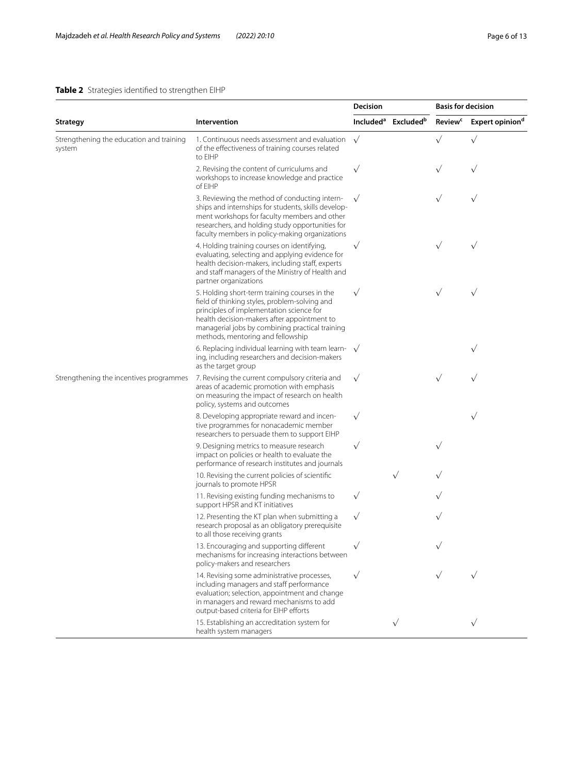## <span id="page-5-0"></span>**Table 2** Strategies identifed to strengthen EIHP

|                                                    |                                                                                                                                                                                                                                                                                   | Decision  |                                             | <b>Basis for decision</b> |                             |
|----------------------------------------------------|-----------------------------------------------------------------------------------------------------------------------------------------------------------------------------------------------------------------------------------------------------------------------------------|-----------|---------------------------------------------|---------------------------|-----------------------------|
| Strategy                                           | Intervention                                                                                                                                                                                                                                                                      |           | Included <sup>a</sup> Excluded <sup>b</sup> | <b>Review<sup>c</sup></b> | Expert opinion <sup>d</sup> |
| Strengthening the education and training<br>system | 1. Continuous needs assessment and evaluation<br>of the effectiveness of training courses related<br>to FIHP                                                                                                                                                                      | $\sqrt{}$ |                                             | $\sqrt{}$                 | $\sqrt{}$                   |
|                                                    | 2. Revising the content of curriculums and<br>workshops to increase knowledge and practice<br>of EIHP                                                                                                                                                                             | $\sqrt{}$ |                                             | $\sqrt{}$                 |                             |
|                                                    | 3. Reviewing the method of conducting intern-<br>ships and internships for students, skills develop-<br>ment workshops for faculty members and other<br>researchers, and holding study opportunities for<br>faculty members in policy-making organizations                        |           |                                             | $\sqrt{}$                 | $\sqrt{}$                   |
|                                                    | 4. Holding training courses on identifying,<br>evaluating, selecting and applying evidence for<br>health decision-makers, including staff, experts<br>and staff managers of the Ministry of Health and<br>partner organizations                                                   | $\sqrt{}$ |                                             | $\sqrt{}$                 | $\sqrt{}$                   |
|                                                    | 5. Holding short-term training courses in the<br>field of thinking styles, problem-solving and<br>principles of implementation science for<br>health decision-makers after appointment to<br>managerial jobs by combining practical training<br>methods, mentoring and fellowship | $\sqrt{}$ |                                             | $\sqrt{}$                 | $\sqrt{}$                   |
|                                                    | 6. Replacing individual learning with team learn- $\sqrt{}$<br>ing, including researchers and decision-makers<br>as the target group                                                                                                                                              |           |                                             |                           | $\sqrt{}$                   |
| Strengthening the incentives programmes            | 7. Revising the current compulsory criteria and<br>areas of academic promotion with emphasis<br>on measuring the impact of research on health<br>policy, systems and outcomes                                                                                                     | $\sqrt{}$ |                                             | $\sqrt{}$                 |                             |
|                                                    | 8. Developing appropriate reward and incen-<br>tive programmes for nonacademic member<br>researchers to persuade them to support EIHP                                                                                                                                             | $\sqrt{}$ |                                             |                           | $\sqrt{}$                   |
|                                                    | 9. Designing metrics to measure research<br>impact on policies or health to evaluate the<br>performance of research institutes and journals                                                                                                                                       | $\sqrt{}$ |                                             | $\sqrt{}$                 |                             |
|                                                    | 10. Revising the current policies of scientific<br>journals to promote HPSR                                                                                                                                                                                                       |           | $\sqrt{}$                                   | $\sqrt{}$                 |                             |
|                                                    | 11. Revising existing funding mechanisms to<br>support HPSR and KT initiatives                                                                                                                                                                                                    | $\sqrt{}$ |                                             |                           |                             |
|                                                    | 12. Presenting the KT plan when submitting a<br>research proposal as an obligatory prerequisite<br>to all those receiving grants                                                                                                                                                  | $\sqrt{}$ |                                             | $\sqrt{}$                 |                             |
|                                                    | 13. Encouraging and supporting different<br>mechanisms for increasing interactions between<br>policy-makers and researchers                                                                                                                                                       |           |                                             |                           |                             |
|                                                    | 14. Revising some administrative processes,<br>including managers and staff performance<br>evaluation; selection, appointment and change<br>in managers and reward mechanisms to add<br>output-based criteria for EIHP efforts                                                    | $\sqrt{}$ |                                             |                           |                             |
|                                                    | 15. Establishing an accreditation system for<br>health system managers                                                                                                                                                                                                            |           | $\sqrt{}$                                   |                           |                             |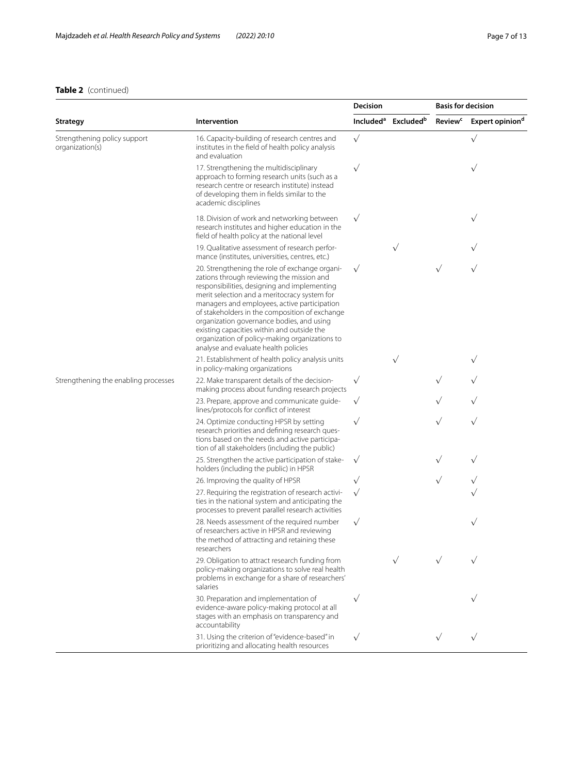## **Table 2** (continued)

|                                                 |                                                                                                                                                                                                                                                                                                                                                                                                                                                                                    | Decision     |                                             | <b>Basis for decision</b> |                             |
|-------------------------------------------------|------------------------------------------------------------------------------------------------------------------------------------------------------------------------------------------------------------------------------------------------------------------------------------------------------------------------------------------------------------------------------------------------------------------------------------------------------------------------------------|--------------|---------------------------------------------|---------------------------|-----------------------------|
| <b>Strategy</b>                                 | Intervention                                                                                                                                                                                                                                                                                                                                                                                                                                                                       |              | Included <sup>a</sup> Excluded <sup>b</sup> | <b>Review<sup>c</sup></b> | Expert opinion <sup>d</sup> |
| Strengthening policy support<br>organization(s) | 16. Capacity-building of research centres and<br>institutes in the field of health policy analysis<br>and evaluation                                                                                                                                                                                                                                                                                                                                                               | $\sqrt{}$    |                                             |                           | $\sqrt{}$                   |
|                                                 | 17. Strengthening the multidisciplinary<br>approach to forming research units (such as a<br>research centre or research institute) instead<br>of developing them in fields similar to the<br>academic disciplines                                                                                                                                                                                                                                                                  | $\sqrt{}$    |                                             |                           | $\sqrt{}$                   |
|                                                 | 18. Division of work and networking between<br>research institutes and higher education in the<br>field of health policy at the national level                                                                                                                                                                                                                                                                                                                                     |              |                                             |                           | $\sqrt{}$                   |
|                                                 | 19. Qualitative assessment of research perfor-<br>mance (institutes, universities, centres, etc.)                                                                                                                                                                                                                                                                                                                                                                                  |              | $\sqrt{}$                                   |                           |                             |
|                                                 | 20. Strengthening the role of exchange organi-<br>zations through reviewing the mission and<br>responsibilities, designing and implementing<br>merit selection and a meritocracy system for<br>managers and employees, active participation<br>of stakeholders in the composition of exchange<br>organization governance bodies, and using<br>existing capacities within and outside the<br>organization of policy-making organizations to<br>analyse and evaluate health policies | $\sqrt{}$    |                                             | $\sqrt{}$                 | $\sqrt{}$                   |
|                                                 | 21. Establishment of health policy analysis units<br>in policy-making organizations                                                                                                                                                                                                                                                                                                                                                                                                |              | $\sqrt{}$                                   |                           | $\sqrt{}$                   |
| Strengthening the enabling processes            | 22. Make transparent details of the decision-<br>making process about funding research projects                                                                                                                                                                                                                                                                                                                                                                                    | $\sqrt{}$    |                                             | $\sqrt{}$                 | $\sqrt{}$                   |
|                                                 | 23. Prepare, approve and communicate quide-<br>lines/protocols for conflict of interest                                                                                                                                                                                                                                                                                                                                                                                            | $\checkmark$ |                                             |                           | $\sqrt{}$                   |
|                                                 | 24. Optimize conducting HPSR by setting<br>research priorities and defining research ques-<br>tions based on the needs and active participa-<br>tion of all stakeholders (including the public)                                                                                                                                                                                                                                                                                    | $\sqrt{}$    |                                             | $\sqrt{}$                 | $\sqrt{}$                   |
|                                                 | 25. Strengthen the active participation of stake-<br>holders (including the public) in HPSR                                                                                                                                                                                                                                                                                                                                                                                        | $\sqrt{}$    |                                             | $\sqrt{}$                 | $\sqrt{}$                   |
|                                                 | 26. Improving the quality of HPSR                                                                                                                                                                                                                                                                                                                                                                                                                                                  | $\sqrt{}$    |                                             | $\sqrt{}$                 | $\sqrt{}$                   |
|                                                 | 27. Requiring the registration of research activi-<br>ties in the national system and anticipating the<br>processes to prevent parallel research activities                                                                                                                                                                                                                                                                                                                        | $\sqrt{}$    |                                             |                           |                             |
|                                                 | 28. Needs assessment of the required number<br>of researchers active in HPSR and reviewing<br>the method of attracting and retaining these<br>researchers                                                                                                                                                                                                                                                                                                                          | $\sqrt{}$    |                                             |                           | $\sqrt{}$                   |
|                                                 | 29. Obligation to attract research funding from<br>policy-making organizations to solve real health<br>problems in exchange for a share of researchers'<br>salaries                                                                                                                                                                                                                                                                                                                |              | $\sqrt{}$                                   |                           |                             |
|                                                 | 30. Preparation and implementation of<br>evidence-aware policy-making protocol at all<br>stages with an emphasis on transparency and<br>accountability                                                                                                                                                                                                                                                                                                                             | $\sqrt{}$    |                                             |                           |                             |
|                                                 | 31. Using the criterion of "evidence-based" in<br>prioritizing and allocating health resources                                                                                                                                                                                                                                                                                                                                                                                     | $\sqrt{}$    |                                             | $\sqrt{}$                 | $\sqrt{}$                   |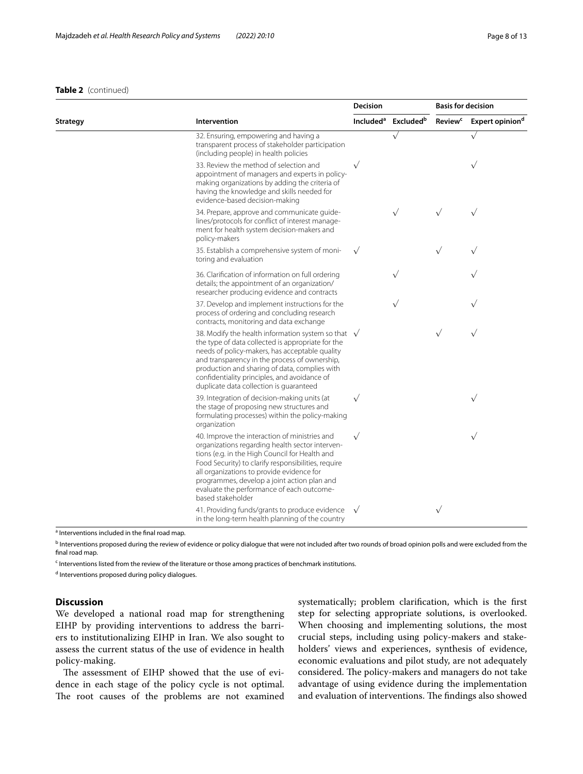#### **Table 2** (continued)

|          |                                                                                                                                                                                                                                                                                                                                                                         | Decision              |                       | <b>Basis for decision</b> |                             |
|----------|-------------------------------------------------------------------------------------------------------------------------------------------------------------------------------------------------------------------------------------------------------------------------------------------------------------------------------------------------------------------------|-----------------------|-----------------------|---------------------------|-----------------------------|
| Strategy | Intervention                                                                                                                                                                                                                                                                                                                                                            | Included <sup>a</sup> | Excluded <sup>b</sup> | <b>Review<sup>c</sup></b> | Expert opinion <sup>d</sup> |
|          | 32. Ensuring, empowering and having a<br>transparent process of stakeholder participation<br>(including people) in health policies                                                                                                                                                                                                                                      |                       | $\sqrt{}$             |                           | $\sqrt{}$                   |
|          | 33. Review the method of selection and<br>appointment of managers and experts in policy-<br>making organizations by adding the criteria of<br>having the knowledge and skills needed for<br>evidence-based decision-making                                                                                                                                              | $\sqrt{}$             |                       |                           | $\sqrt{}$                   |
|          | 34. Prepare, approve and communicate guide-<br>lines/protocols for conflict of interest manage-<br>ment for health system decision-makers and<br>policy-makers                                                                                                                                                                                                          |                       | $\sqrt{}$             |                           | $\sqrt{}$                   |
|          | 35. Establish a comprehensive system of moni-<br>toring and evaluation                                                                                                                                                                                                                                                                                                  | $\sqrt{}$             |                       | $\sqrt{}$                 |                             |
|          | 36. Clarification of information on full ordering<br>details; the appointment of an organization/<br>researcher producing evidence and contracts                                                                                                                                                                                                                        |                       |                       |                           |                             |
|          | 37. Develop and implement instructions for the<br>process of ordering and concluding research<br>contracts, monitoring and data exchange                                                                                                                                                                                                                                |                       |                       |                           |                             |
|          | 38. Modify the health information system so that $\sqrt{}$<br>the type of data collected is appropriate for the<br>needs of policy-makers, has acceptable quality<br>and transparency in the process of ownership,<br>production and sharing of data, complies with<br>confidentiality principles, and avoidance of<br>duplicate data collection is quaranteed          |                       |                       | $\sqrt{}$                 | $\sqrt{}$                   |
|          | 39. Integration of decision-making units (at<br>the stage of proposing new structures and<br>formulating processes) within the policy-making<br>organization                                                                                                                                                                                                            | $\sqrt{}$             |                       |                           | $\sqrt{}$                   |
|          | 40. Improve the interaction of ministries and<br>organizations regarding health sector interven-<br>tions (e.g. in the High Council for Health and<br>Food Security) to clarify responsibilities, require<br>all organizations to provide evidence for<br>programmes, develop a joint action plan and<br>evaluate the performance of each outcome-<br>based stakeholder | $\sqrt{}$             |                       |                           | $\checkmark$                |
|          | 41. Providing funds/grants to produce evidence<br>in the long-term health planning of the country                                                                                                                                                                                                                                                                       | $\sqrt{ }$            |                       | $\sqrt{}$                 |                             |

<sup>a</sup> Interventions included in the final road map.

<sup>b</sup> Interventions proposed during the review of evidence or policy dialogue that were not included after two rounds of broad opinion polls and were excluded from the final road map.

<sup>c</sup> Interventions listed from the review of the literature or those among practices of benchmark institutions.

<sup>d</sup> Interventions proposed during policy dialogues.

## **Discussion**

We developed a national road map for strengthening EIHP by providing interventions to address the barriers to institutionalizing EIHP in Iran. We also sought to assess the current status of the use of evidence in health policy-making.

The assessment of EIHP showed that the use of evidence in each stage of the policy cycle is not optimal. The root causes of the problems are not examined systematically; problem clarifcation, which is the frst step for selecting appropriate solutions, is overlooked. When choosing and implementing solutions, the most crucial steps, including using policy-makers and stakeholders' views and experiences, synthesis of evidence, economic evaluations and pilot study, are not adequately considered. The policy-makers and managers do not take advantage of using evidence during the implementation and evaluation of interventions. The findings also showed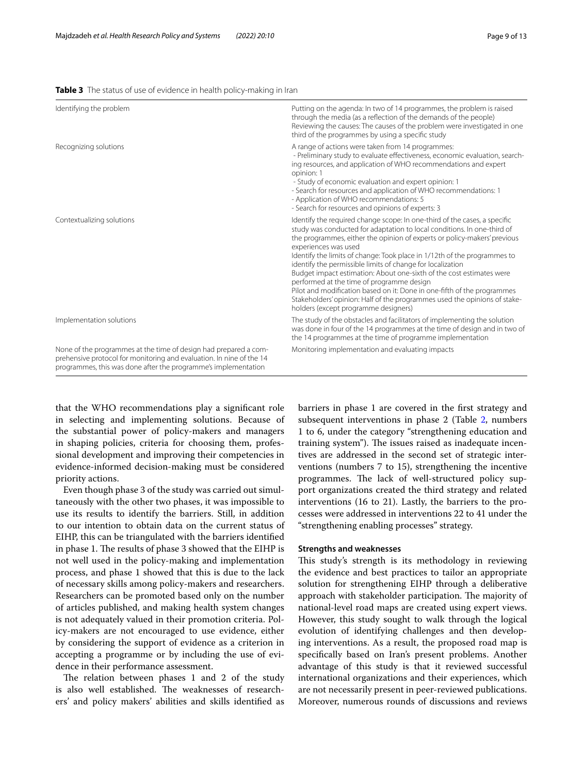<span id="page-8-0"></span>

|  |  |  |  |  |  | Table 3 The status of use of evidence in health policy-making in Iran |
|--|--|--|--|--|--|-----------------------------------------------------------------------|
|--|--|--|--|--|--|-----------------------------------------------------------------------|

| Identifying the problem                                                                                                                                                                                    | Putting on the agenda: In two of 14 programmes, the problem is raised<br>through the media (as a reflection of the demands of the people)<br>Reviewing the causes: The causes of the problem were investigated in one<br>third of the programmes by using a specific study                                                                                                                                                                                                                                                                                                                                                                                                                                              |
|------------------------------------------------------------------------------------------------------------------------------------------------------------------------------------------------------------|-------------------------------------------------------------------------------------------------------------------------------------------------------------------------------------------------------------------------------------------------------------------------------------------------------------------------------------------------------------------------------------------------------------------------------------------------------------------------------------------------------------------------------------------------------------------------------------------------------------------------------------------------------------------------------------------------------------------------|
| Recognizing solutions                                                                                                                                                                                      | A range of actions were taken from 14 programmes:<br>- Preliminary study to evaluate effectiveness, economic evaluation, search-<br>ing resources, and application of WHO recommendations and expert<br>opinion: 1<br>- Study of economic evaluation and expert opinion: 1<br>- Search for resources and application of WHO recommendations: 1<br>- Application of WHO recommendations: 5<br>- Search for resources and opinions of experts: 3                                                                                                                                                                                                                                                                          |
| Contextualizing solutions                                                                                                                                                                                  | Identify the required change scope: In one-third of the cases, a specific<br>study was conducted for adaptation to local conditions. In one-third of<br>the programmes, either the opinion of experts or policy-makers' previous<br>experiences was used<br>Identify the limits of change: Took place in 1/12th of the programmes to<br>identify the permissible limits of change for localization<br>Budget impact estimation: About one-sixth of the cost estimates were<br>performed at the time of programme design<br>Pilot and modification based on it: Done in one-fifth of the programmes<br>Stakeholders' opinion: Half of the programmes used the opinions of stake-<br>holders (except programme designers) |
| Implementation solutions                                                                                                                                                                                   | The study of the obstacles and facilitators of implementing the solution<br>was done in four of the 14 programmes at the time of design and in two of<br>the 14 programmes at the time of programme implementation                                                                                                                                                                                                                                                                                                                                                                                                                                                                                                      |
| None of the programmes at the time of design had prepared a com-<br>prehensive protocol for monitoring and evaluation. In nine of the 14<br>programmes, this was done after the programme's implementation | Monitoring implementation and evaluating impacts                                                                                                                                                                                                                                                                                                                                                                                                                                                                                                                                                                                                                                                                        |

that the WHO recommendations play a signifcant role in selecting and implementing solutions. Because of the substantial power of policy-makers and managers in shaping policies, criteria for choosing them, professional development and improving their competencies in evidence-informed decision-making must be considered priority actions.

Even though phase 3 of the study was carried out simultaneously with the other two phases, it was impossible to use its results to identify the barriers. Still, in addition to our intention to obtain data on the current status of EIHP, this can be triangulated with the barriers identifed in phase 1. The results of phase 3 showed that the EIHP is not well used in the policy-making and implementation process, and phase 1 showed that this is due to the lack of necessary skills among policy-makers and researchers. Researchers can be promoted based only on the number of articles published, and making health system changes is not adequately valued in their promotion criteria. Policy-makers are not encouraged to use evidence, either by considering the support of evidence as a criterion in accepting a programme or by including the use of evidence in their performance assessment.

The relation between phases  $1$  and  $2$  of the study is also well established. The weaknesses of researchers' and policy makers' abilities and skills identifed as barriers in phase 1 are covered in the frst strategy and subsequent interventions in phase [2](#page-5-0) (Table 2, numbers 1 to 6, under the category "strengthening education and training system"). The issues raised as inadequate incentives are addressed in the second set of strategic interventions (numbers 7 to 15), strengthening the incentive programmes. The lack of well-structured policy support organizations created the third strategy and related interventions (16 to 21). Lastly, the barriers to the processes were addressed in interventions 22 to 41 under the "strengthening enabling processes" strategy.

#### **Strengths and weaknesses**

This study's strength is its methodology in reviewing the evidence and best practices to tailor an appropriate solution for strengthening EIHP through a deliberative approach with stakeholder participation. The majority of national-level road maps are created using expert views. However, this study sought to walk through the logical evolution of identifying challenges and then developing interventions. As a result, the proposed road map is specifcally based on Iran's present problems. Another advantage of this study is that it reviewed successful international organizations and their experiences, which are not necessarily present in peer-reviewed publications. Moreover, numerous rounds of discussions and reviews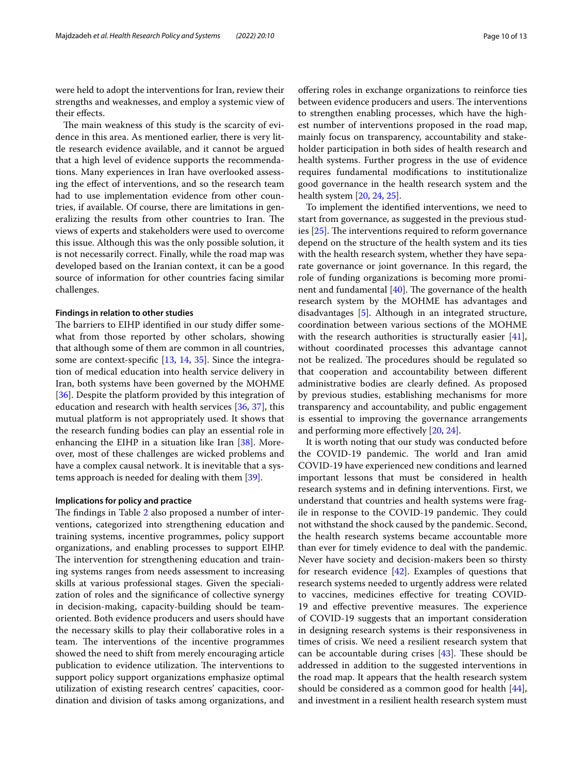were held to adopt the interventions for Iran, review their strengths and weaknesses, and employ a systemic view of their efects.

The main weakness of this study is the scarcity of evidence in this area. As mentioned earlier, there is very little research evidence available, and it cannot be argued that a high level of evidence supports the recommendations. Many experiences in Iran have overlooked assessing the efect of interventions, and so the research team had to use implementation evidence from other countries, if available. Of course, there are limitations in generalizing the results from other countries to Iran. The views of experts and stakeholders were used to overcome this issue. Although this was the only possible solution, it is not necessarily correct. Finally, while the road map was developed based on the Iranian context, it can be a good source of information for other countries facing similar challenges.

#### **Findings in relation to other studies**

The barriers to EIHP identified in our study differ somewhat from those reported by other scholars, showing that although some of them are common in all countries, some are context-specifc [\[13](#page-11-24), [14](#page-11-25), [35](#page-11-26)]. Since the integration of medical education into health service delivery in Iran, both systems have been governed by the MOHME [[36\]](#page-11-27). Despite the platform provided by this integration of education and research with health services [[36,](#page-11-27) [37](#page-11-28)], this mutual platform is not appropriately used. It shows that the research funding bodies can play an essential role in enhancing the EIHP in a situation like Iran [[38\]](#page-11-29). Moreover, most of these challenges are wicked problems and have a complex causal network. It is inevitable that a systems approach is needed for dealing with them [\[39](#page-11-30)].

## **Implications for policy and practice**

The findings in Table  $2$  also proposed a number of interventions, categorized into strengthening education and training systems, incentive programmes, policy support organizations, and enabling processes to support EIHP. The intervention for strengthening education and training systems ranges from needs assessment to increasing skills at various professional stages. Given the specialization of roles and the signifcance of collective synergy in decision-making, capacity-building should be teamoriented. Both evidence producers and users should have the necessary skills to play their collaborative roles in a team. The interventions of the incentive programmes showed the need to shift from merely encouraging article publication to evidence utilization. The interventions to support policy support organizations emphasize optimal utilization of existing research centres' capacities, coordination and division of tasks among organizations, and ofering roles in exchange organizations to reinforce ties between evidence producers and users. The interventions to strengthen enabling processes, which have the highest number of interventions proposed in the road map, mainly focus on transparency, accountability and stakeholder participation in both sides of health research and health systems. Further progress in the use of evidence requires fundamental modifcations to institutionalize good governance in the health research system and the health system [\[20](#page-11-10), [24](#page-11-31), [25\]](#page-11-14).

To implement the identifed interventions, we need to start from governance, as suggested in the previous studies  $[25]$  $[25]$ . The interventions required to reform governance depend on the structure of the health system and its ties with the health research system, whether they have separate governance or joint governance. In this regard, the role of funding organizations is becoming more prominent and fundamental  $[40]$  $[40]$ . The governance of the health research system by the MOHME has advantages and disadvantages [[5\]](#page-11-2). Although in an integrated structure, coordination between various sections of the MOHME with the research authorities is structurally easier [\[41](#page-12-1)], without coordinated processes this advantage cannot not be realized. The procedures should be regulated so that cooperation and accountability between diferent administrative bodies are clearly defned. As proposed by previous studies, establishing mechanisms for more transparency and accountability, and public engagement is essential to improving the governance arrangements and performing more efectively [\[20](#page-11-10), [24\]](#page-11-31).

It is worth noting that our study was conducted before the COVID-19 pandemic. The world and Iran amid COVID-19 have experienced new conditions and learned important lessons that must be considered in health research systems and in defning interventions. First, we understand that countries and health systems were fragile in response to the COVID-19 pandemic. They could not withstand the shock caused by the pandemic. Second, the health research systems became accountable more than ever for timely evidence to deal with the pandemic. Never have society and decision-makers been so thirsty for research evidence [\[42](#page-12-2)]. Examples of questions that research systems needed to urgently address were related to vaccines, medicines efective for treating COVID-19 and effective preventive measures. The experience of COVID-19 suggests that an important consideration in designing research systems is their responsiveness in times of crisis. We need a resilient research system that can be accountable during crises  $[43]$  $[43]$ . These should be addressed in addition to the suggested interventions in the road map. It appears that the health research system should be considered as a common good for health [\[44](#page-12-4)], and investment in a resilient health research system must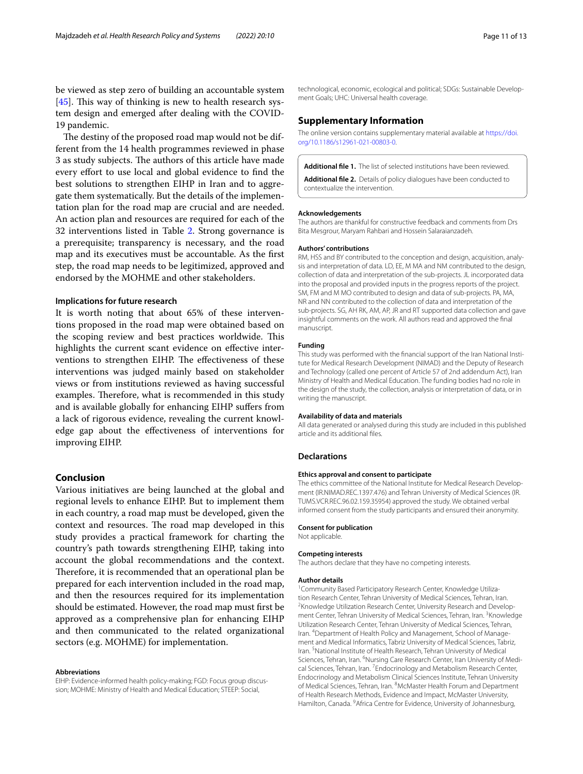be viewed as step zero of building an accountable system [[45\]](#page-12-5). This way of thinking is new to health research system design and emerged after dealing with the COVID-19 pandemic.

The destiny of the proposed road map would not be different from the 14 health programmes reviewed in phase 3 as study subjects. The authors of this article have made every efort to use local and global evidence to fnd the best solutions to strengthen EIHP in Iran and to aggregate them systematically. But the details of the implementation plan for the road map are crucial and are needed. An action plan and resources are required for each of the 32 interventions listed in Table [2.](#page-5-0) Strong governance is a prerequisite; transparency is necessary, and the road map and its executives must be accountable. As the frst step, the road map needs to be legitimized, approved and endorsed by the MOHME and other stakeholders.

#### **Implications for future research**

It is worth noting that about 65% of these interventions proposed in the road map were obtained based on the scoping review and best practices worldwide. This highlights the current scant evidence on effective interventions to strengthen EIHP. The effectiveness of these interventions was judged mainly based on stakeholder views or from institutions reviewed as having successful examples. Therefore, what is recommended in this study and is available globally for enhancing EIHP sufers from a lack of rigorous evidence, revealing the current knowledge gap about the efectiveness of interventions for improving EIHP.

### **Conclusion**

Various initiatives are being launched at the global and regional levels to enhance EIHP. But to implement them in each country, a road map must be developed, given the context and resources. The road map developed in this study provides a practical framework for charting the country's path towards strengthening EIHP, taking into account the global recommendations and the context. Therefore, it is recommended that an operational plan be prepared for each intervention included in the road map, and then the resources required for its implementation should be estimated. However, the road map must frst be approved as a comprehensive plan for enhancing EIHP and then communicated to the related organizational sectors (e.g. MOHME) for implementation.

#### **Abbreviations**

EIHP: Evidence-informed health policy-making; FGD: Focus group discussion; MOHME: Ministry of Health and Medical Education; STEEP: Social,

technological, economic, ecological and political; SDGs: Sustainable Development Goals; UHC: Universal health coverage.

#### **Supplementary Information**

The online version contains supplementary material available at [https://doi.](https://doi.org/10.1186/s12961-021-00803-0) [org/10.1186/s12961-021-00803-0](https://doi.org/10.1186/s12961-021-00803-0).

<span id="page-10-1"></span><span id="page-10-0"></span>**Additional fle 1.** The list of selected institutions have been reviewed.

**Additional fle 2.** Details of policy dialogues have been conducted to contextualize the intervention.

#### **Acknowledgements**

The authors are thankful for constructive feedback and comments from Drs Bita Mesgrour, Maryam Rahbari and Hossein Salaraianzadeh.

#### **Authors' contributions**

RM, HSS and BY contributed to the conception and design, acquisition, analysis and interpretation of data. LD, EE, M MA and NM contributed to the design, collection of data and interpretation of the sub-projects. JL incorporated data into the proposal and provided inputs in the progress reports of the project. SM, FM and M MO contributed to design and data of sub-projects. PA, MA, NR and NN contributed to the collection of data and interpretation of the sub-projects. SG, AH RK, AM, AP, JR and RT supported data collection and gave insightful comments on the work. All authors read and approved the fnal manuscript.

#### **Funding**

This study was performed with the financial support of the Iran National Institute for Medical Research Development (NIMAD) and the Deputy of Research and Technology (called one percent of Article 57 of 2nd addendum Act), Iran Ministry of Health and Medical Education. The funding bodies had no role in the design of the study, the collection, analysis or interpretation of data, or in writing the manuscript.

#### **Availability of data and materials**

All data generated or analysed during this study are included in this published article and its additional fles.

#### **Declarations**

#### **Ethics approval and consent to participate**

The ethics committee of the National Institute for Medical Research Development (IR.NIMAD.REC.1397.476) and Tehran University of Medical Sciences (IR. TUMS.VCR.REC.96.02.159.35954) approved the study. We obtained verbal informed consent from the study participants and ensured their anonymity.

#### **Consent for publication**

Not applicable.

#### **Competing interests**

The authors declare that they have no competing interests.

#### **Author details**

<sup>1</sup> Community Based Participatory Research Center, Knowledge Utilization Research Center, Tehran University of Medical Sciences, Tehran, Iran. 2 <sup>2</sup> Knowledge Utilization Research Center, University Research and Development Center, Tehran University of Medical Sciences, Tehran, Iran. <sup>3</sup> Knowledge Utilization Research Center, Tehran University of Medical Sciences, Tehran, Iran. <sup>4</sup> Department of Health Policy and Management, School of Management and Medical Informatics, Tabriz University of Medical Sciences, Tabriz, Iran.<sup>5</sup> National Institute of Health Research, Tehran University of Medical Sciences, Tehran, Iran. <sup>6</sup>Nursing Care Research Center, Iran University of Medical Sciences, Tehran, Iran.<sup>7</sup> Endocrinology and Metabolism Research Center, Endocrinology and Metabolism Clinical Sciences Institute, Tehran University of Medical Sciences, Tehran, Iran. <sup>8</sup> McMaster Health Forum and Department of Health Research Methods, Evidence and Impact, McMaster University, Hamilton, Canada. <sup>9</sup> Africa Centre for Evidence, University of Johannesburg,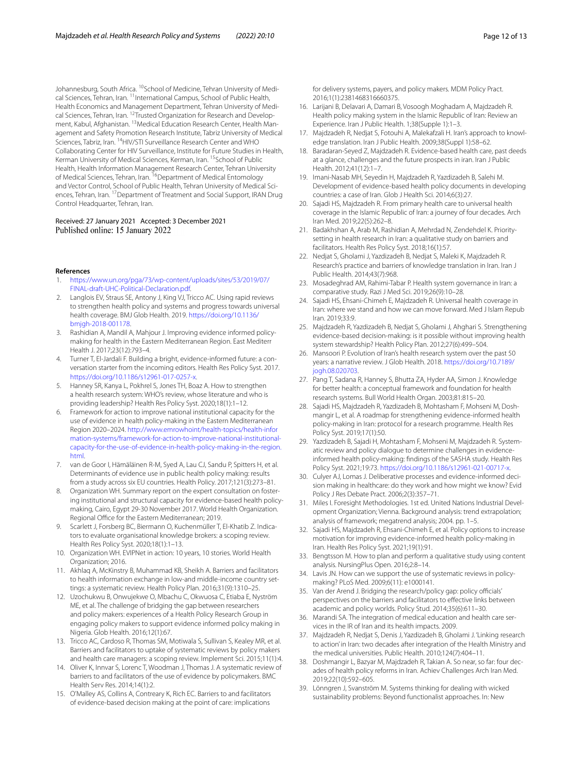Johannesburg, South Africa. <sup>10</sup>School of Medicine, Tehran University of Medical Sciences, Tehran, Iran. <sup>11</sup>International Campus, School of Public Health, Health Economics and Management Department, Tehran University of Medical Sciences, Tehran, Iran. <sup>12</sup>Trusted Organization for Research and Development, Kabul, Afghanistan. <sup>13</sup>Medical Education Research Center, Health Management and Safety Promotion Research Institute, Tabriz University of Medical Sciences, Tabriz, Iran. <sup>14</sup>HIV/STI Surveillance Research Center and WHO Collaborating Center for HIV Surveillance, Institute for Future Studies in Health, Kerman University of Medical Sciences, Kerman, Iran. <sup>15</sup>School of Public Health, Health Information Management Research Center, Tehran University of Medical Sciences, Tehran, Iran. <sup>16</sup>Department of Medical Entomology and Vector Control, School of Public Health, Tehran University of Medical Sciences, Tehran, Iran. 17Department of Treatment and Social Support, IRAN Drug Control Headquarter, Tehran, Iran.

## Received: 27 January 2021 Accepted: 3 December 2021<br>Published online: 15 January 2022

#### **References**

- <span id="page-11-0"></span>1. [https://www.un.org/pga/73/wp-content/uploads/sites/53/2019/07/](https://www.un.org/pga/73/wp-content/uploads/sites/53/2019/07/FINAL-draft-UHC-Political-Declaration.pdf) [FINAL-draft-UHC-Political-Declaration.pdf](https://www.un.org/pga/73/wp-content/uploads/sites/53/2019/07/FINAL-draft-UHC-Political-Declaration.pdf).
- <span id="page-11-1"></span>2. Langlois EV, Straus SE, Antony J, King VJ, Tricco AC. Using rapid reviews to strengthen health policy and systems and progress towards universal health coverage. BMJ Glob Health. 2019. [https://doi.org/10.1136/](https://doi.org/10.1136/bmjgh-2018-001178) [bmjgh-2018-001178.](https://doi.org/10.1136/bmjgh-2018-001178)
- 3. Rashidian A, Mandil A, Mahjour J. Improving evidence informed policymaking for health in the Eastern Mediterranean Region. East Mediterr Health J. 2017;23(12):793–4.
- 4. Turner T, El-Jardali F. Building a bright, evidence-informed future: a conversation starter from the incoming editors. Health Res Policy Syst. 2017. <https://doi.org/10.1186/s12961-017-0257-x>.
- <span id="page-11-2"></span>5. Hanney SR, Kanya L, Pokhrel S, Jones TH, Boaz A. How to strengthen a health research system: WHO's review, whose literature and who is providing leadership? Health Res Policy Syst. 2020;18(1):1–12.
- <span id="page-11-3"></span>6. Framework for action to improve national institutional capacity for the use of evidence in health policy-making in the Eastern Mediterranean Region 2020–2024. [http://www.emrowhoint/health-topics/health-infor](http://www.emrowhoint/health-topics/health-information-systems/framework-for-action-to-improve-national-institutional-capacity-for-the-use-of-evidence-in-health-policy-making-in-the-region.html) [mation-systems/framework-for-action-to-improve-national-institutional](http://www.emrowhoint/health-topics/health-information-systems/framework-for-action-to-improve-national-institutional-capacity-for-the-use-of-evidence-in-health-policy-making-in-the-region.html) [capacity-for-the-use-of-evidence-in-health-policy-making-in-the-region.](http://www.emrowhoint/health-topics/health-information-systems/framework-for-action-to-improve-national-institutional-capacity-for-the-use-of-evidence-in-health-policy-making-in-the-region.html) [html.](http://www.emrowhoint/health-topics/health-information-systems/framework-for-action-to-improve-national-institutional-capacity-for-the-use-of-evidence-in-health-policy-making-in-the-region.html)
- 7. van de Goor I, Hämäläinen R-M, Syed A, Lau CJ, Sandu P, Spitters H, et al. Determinants of evidence use in public health policy making: results from a study across six EU countries. Health Policy. 2017;121(3):273–81.
- 8. Organization WH. Summary report on the expert consultation on fostering institutional and structural capacity for evidence-based health policymaking, Cairo, Egypt 29-30 November 2017. World Health Organization. Regional Office for the Eastern Mediterranean; 2019.
- 9. Scarlett J, Forsberg BC, Biermann O, Kuchenmüller T, El-Khatib Z. Indicators to evaluate organisational knowledge brokers: a scoping review. Health Res Policy Syst. 2020;18(1):1–13.
- <span id="page-11-4"></span>10. Organization WH. EVIPNet in action: 10 years, 10 stories. World Health Organization; 2016.
- <span id="page-11-5"></span>11. Akhlaq A, McKinstry B, Muhammad KB, Sheikh A. Barriers and facilitators to health information exchange in low-and middle-income country settings: a systematic review. Health Policy Plan. 2016;31(9):1310–25.
- 12. Uzochukwu B, Onwujekwe O, Mbachu C, Okwuosa C, Etiaba E, Nyström ME, et al. The challenge of bridging the gap between researchers and policy makers: experiences of a Health Policy Research Group in engaging policy makers to support evidence informed policy making in Nigeria. Glob Health. 2016;12(1):67.
- <span id="page-11-24"></span>13. Tricco AC, Cardoso R, Thomas SM, Motiwala S, Sullivan S, Kealey MR, et al. Barriers and facilitators to uptake of systematic reviews by policy makers and health care managers: a scoping review. Implement Sci. 2015;11(1):4.
- <span id="page-11-25"></span>14. Oliver K, Innvar S, Lorenc T, Woodman J, Thomas J. A systematic review of barriers to and facilitators of the use of evidence by policymakers. BMC Health Serv Res. 2014;14(1):2.
- <span id="page-11-6"></span>15. O'Malley AS, Collins A, Contreary K, Rich EC. Barriers to and facilitators of evidence-based decision making at the point of care: implications

for delivery systems, payers, and policy makers. MDM Policy Pract. 2016;1(1):2381468316660375.

- <span id="page-11-7"></span>16. Larijani B, Delavari A, Damari B, Vosoogh Moghadam A, Majdzadeh R. Health policy making system in the Islamic Republic of Iran: Review an Experience. Iran J Public Health. 1;38(Supple 1):1–3.
- 17. Majdzadeh R, Nedjat S, Fotouhi A, Malekafzali H. Iran's approach to knowledge translation. Iran J Public Health. 2009;38(Suppl 1):58–62.
- <span id="page-11-8"></span>18. Baradaran-Seyed Z, Majdzadeh R. Evidence-based health care, past deeds at a glance, challenges and the future prospects in iran. Iran J Public Health. 2012;41(12):1–7.
- <span id="page-11-9"></span>19. Imani-Nasab MH, Seyedin H, Majdzadeh R, Yazdizadeh B, Salehi M. Development of evidence-based health policy documents in developing countries: a case of Iran. Glob J Health Sci. 2014;6(3):27.
- <span id="page-11-10"></span>20. Sajadi HS, Majdzadeh R. From primary health care to universal health coverage in the Islamic Republic of Iran: a journey of four decades. Arch Iran Med. 2019;22(5):262–8.
- <span id="page-11-11"></span>21. Badakhshan A, Arab M, Rashidian A, Mehrdad N, Zendehdel K. Prioritysetting in health research in Iran: a qualitative study on barriers and facilitators. Health Res Policy Syst. 2018;16(1):57.
- <span id="page-11-12"></span>22. Nedjat S, Gholami J, Yazdizadeh B, Nedjat S, Maleki K, Majdzadeh R. Research's practice and barriers of knowledge translation in Iran. Iran J Public Health. 2014;43(7):968.
- <span id="page-11-13"></span>23. Mosadeghrad AM, Rahimi-Tabar P. Health system governance in Iran: a comparative study. Razi J Med Sci. 2019;26(9):10–28.
- <span id="page-11-31"></span>24. Sajadi HS, Ehsani-Chimeh E, Majdzadeh R. Universal health coverage in Iran: where we stand and how we can move forward. Med J Islam Repub Iran. 2019;33:9.
- <span id="page-11-14"></span>25. Majdzadeh R, Yazdizadeh B, Nedjat S, Gholami J, Ahghari S. Strengthening evidence-based decision-making: is it possible without improving health system stewardship? Health Policy Plan. 2012;27(6):499–504.
- <span id="page-11-15"></span>26. Mansoori P. Evolution of Iran's health research system over the past 50 years: a narrative review. J Glob Health. 2018. [https://doi.org/10.7189/](https://doi.org/10.7189/jogh.08.020703) [jogh.08.020703](https://doi.org/10.7189/jogh.08.020703).
- <span id="page-11-16"></span>27. Pang T, Sadana R, Hanney S, Bhutta ZA, Hyder AA, Simon J. Knowledge for better health: a conceptual framework and foundation for health research systems. Bull World Health Organ. 2003;81:815–20.
- <span id="page-11-17"></span>28. Sajadi HS, Majdzadeh R, Yazdizadeh B, Mohtasham F, Mohseni M, Doshmangir L, et al. A roadmap for strengthening evidence-informed health policy-making in Iran: protocol for a research programme. Health Res Policy Syst. 2019;17(1):50.
- <span id="page-11-18"></span>29. Yazdizadeh B, Sajadi H, Mohtasham F, Mohseni M, Majdzadeh R. Systematic review and policy dialogue to determine challenges in evidenceinformed health policy-making: fndings of the SASHA study. Health Res Policy Syst. 2021;19:73. [https://doi.org/10.1186/s12961-021-00717-x.](https://doi.org/10.1186/s12961-021-00717-x)
- <span id="page-11-19"></span>30. Culyer AJ, Lomas J. Deliberative processes and evidence-informed decision making in healthcare: do they work and how might we know? Evid Policy J Res Debate Pract. 2006;2(3):357–71.
- <span id="page-11-20"></span>31. Miles I. Foresight Methodologies. 1st ed. United Nations Industrial Development Organization; Vienna. Background analysis: trend extrapolation; analysis of framework; megatrend analysis; 2004. pp. 1–5.
- <span id="page-11-21"></span>32. Sajadi HS, Majdzadeh R, Ehsani-Chimeh E, et al. Policy options to increase motivation for improving evidence-informed health policy-making in Iran. Health Res Policy Syst. 2021;19(1):91.
- <span id="page-11-22"></span>33. Bengtsson M. How to plan and perform a qualitative study using content analysis. NursingPlus Open. 2016;2:8–14.
- <span id="page-11-23"></span>34. Lavis JN. How can we support the use of systematic reviews in policymaking? PLoS Med. 2009;6(11): e1000141.
- <span id="page-11-26"></span>35. Van der Arend J. Bridging the research/policy gap: policy officials' perspectives on the barriers and facilitators to efective links between academic and policy worlds. Policy Stud. 2014;35(6):611–30.
- <span id="page-11-27"></span>36. Marandi SA. The integration of medical education and health care services in the IR of Iran and its health impacts. 2009.
- <span id="page-11-28"></span>37. Majdzadeh R, Nedjat S, Denis J, Yazdizadeh B, Gholami J. 'Linking research to action' in Iran: two decades after integration of the Health Ministry and the medical universities. Public Health. 2010;124(7):404–11.
- <span id="page-11-29"></span>38. Doshmangir L, Bazyar M, Majdzadeh R, Takian A. So near, so far: four decades of health policy reforms in Iran. Achiev Challenges Arch Iran Med. 2019;22(10):592–605.
- <span id="page-11-30"></span>39. Lönngren J, Svanström M. Systems thinking for dealing with wicked sustainability problems: Beyond functionalist approaches. In: New